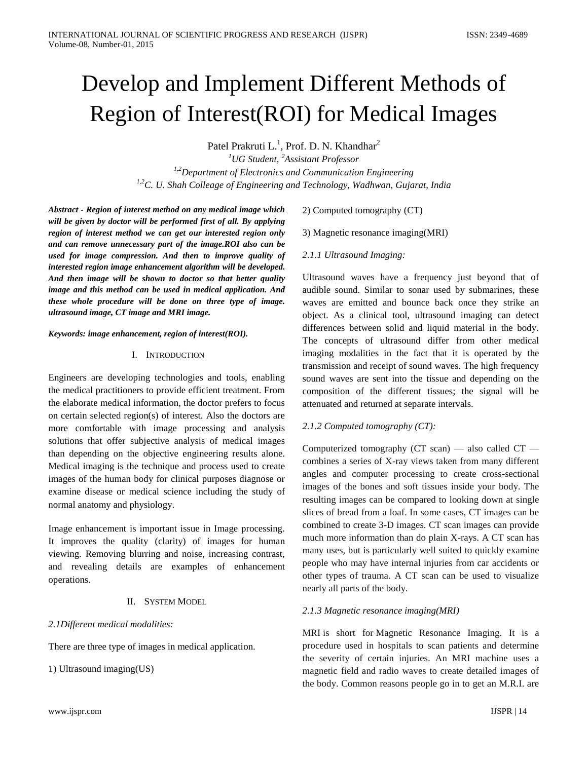# Develop and Implement Different Methods of Region of Interest(ROI) for Medical Images

Patel Prakruti L.<sup>1</sup>, Prof. D. N. Khandhar<sup>2</sup>

*<sup>1</sup>UG Student, <sup>2</sup>Assistant Professor 1,2Department of Electronics and Communication Engineering 1,2C. U. Shah Colleage of Engineering and Technology, Wadhwan, Gujarat, India*

*Abstract - Region of interest method on any medical image which will be given by doctor will be performed first of all. By applying region of interest method we can get our interested region only and can remove unnecessary part of the image.ROI also can be used for image compression. And then to improve quality of interested region image enhancement algorithm will be developed. And then image will be shown to doctor so that better quality image and this method can be used in medical application. And these whole procedure will be done on three type of image. ultrasound image, CT image and MRI image.*

#### *Keywords: image enhancement, region of interest(ROI).*

## I. INTRODUCTION

Engineers are developing technologies and tools, enabling the medical practitioners to provide efficient treatment. From the elaborate medical information, the doctor prefers to focus on certain selected region(s) of interest. Also the doctors are more comfortable with image processing and analysis solutions that offer subjective analysis of medical images than depending on the objective engineering results alone. Medical imaging is the technique and process used to create images of the human body for clinical purposes diagnose or examine disease or medical science including the study of normal anatomy and physiology.

Image enhancement is important issue in Image processing. It improves the quality (clarity) of images for human viewing. Removing blurring and noise, increasing contrast, and revealing details are examples of enhancement operations.

# II. SYSTEM MODEL

#### *2.1Different medical modalities:*

There are three type of images in medical application.

1) Ultrasound imaging(US)

2) Computed tomography (CT)

3) Magnetic resonance imaging(MRI)

## *2.1.1 Ultrasound Imaging:*

Ultrasound waves have a frequency just beyond that of audible sound. Similar to sonar used by submarines, these waves are emitted and bounce back once they strike an object. As a clinical tool, ultrasound imaging can detect differences between solid and liquid material in the body. The concepts of ultrasound differ from other medical imaging modalities in the fact that it is operated by the transmission and receipt of sound waves. The high frequency sound waves are sent into the tissue and depending on the composition of the different tissues; the signal will be attenuated and returned at separate intervals.

## *2.1.2 Computed tomography (CT):*

Computerized tomography (CT scan) — also called CT combines a series of X-ray views taken from many different angles and computer processing to create cross-sectional images of the bones and soft tissues inside your body. The resulting images can be compared to looking down at single slices of bread from a loaf. In some cases, CT images can be combined to create 3-D images. CT scan images can provide much more information than do plain X-rays. A CT scan has many uses, but is particularly well suited to quickly examine people who may have internal injuries from car accidents or other types of trauma. A CT scan can be used to visualize nearly all parts of the body.

## *2.1.3 Magnetic resonance imaging(MRI)*

MRI is short for Magnetic Resonance Imaging. It is a procedure used in hospitals to scan patients and determine the severity of certain injuries. An MRI machine uses a magnetic field and radio waves to create detailed images of the body. Common reasons people go in to get an M.R.I. are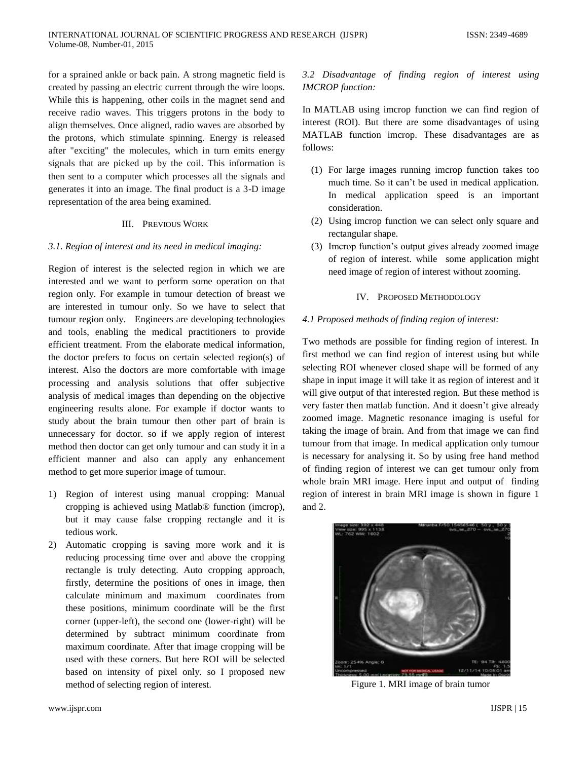for a sprained ankle or back pain. A strong magnetic field is created by passing an electric current through the wire loops. While this is happening, other coils in the magnet send and receive radio waves. This triggers protons in the body to align themselves. Once aligned, radio waves are absorbed by the protons, which stimulate spinning. Energy is released after "exciting" the molecules, which in turn emits energy signals that are picked up by the coil. This information is then sent to a computer which processes all the signals and generates it into an image. The final product is a 3-D image representation of the area being examined.

#### III. PREVIOUS WORK

### *3.1. Region of interest and its need in medical imaging:*

Region of interest is the selected region in which we are interested and we want to perform some operation on that region only. For example in tumour detection of breast we are interested in tumour only. So we have to select that tumour region only. Engineers are developing technologies and tools, enabling the medical practitioners to provide efficient treatment. From the elaborate medical information, the doctor prefers to focus on certain selected region(s) of interest. Also the doctors are more comfortable with image processing and analysis solutions that offer subjective analysis of medical images than depending on the objective engineering results alone. For example if doctor wants to study about the brain tumour then other part of brain is unnecessary for doctor. so if we apply region of interest method then doctor can get only tumour and can study it in a efficient manner and also can apply any enhancement method to get more superior image of tumour.

- 1) Region of interest using manual cropping: Manual cropping is achieved using Matlab® function (imcrop), but it may cause false cropping rectangle and it is tedious work.
- 2) Automatic cropping is saving more work and it is reducing processing time over and above the cropping rectangle is truly detecting. Auto cropping approach, firstly, determine the positions of ones in image, then calculate minimum and maximum coordinates from these positions, minimum coordinate will be the first corner (upper-left), the second one (lower-right) will be determined by subtract minimum coordinate from maximum coordinate. After that image cropping will be used with these corners. But here ROI will be selected based on intensity of pixel only. so I proposed new method of selecting region of interest.

# *3.2 Disadvantage of finding region of interest using IMCROP function:*

In MATLAB using imcrop function we can find region of interest (ROI). But there are some disadvantages of using MATLAB function imcrop. These disadvantages are as follows:

- (1) For large images running imcrop function takes too much time. So it can't be used in medical application. In medical application speed is an important consideration.
- (2) Using imcrop function we can select only square and rectangular shape.
- (3) Imcrop function's output gives already zoomed image of region of interest. while some application might need image of region of interest without zooming.

#### IV. PROPOSED METHODOLOGY

#### *4.1 Proposed methods of finding region of interest:*

Two methods are possible for finding region of interest. In first method we can find region of interest using but while selecting ROI whenever closed shape will be formed of any shape in input image it will take it as region of interest and it will give output of that interested region. But these method is very faster then matlab function. And it doesn't give already zoomed image. Magnetic resonance imaging is useful for taking the image of brain. And from that image we can find tumour from that image. In medical application only tumour is necessary for analysing it. So by using free hand method of finding region of interest we can get tumour only from whole brain MRI image. Here input and output of finding region of interest in brain MRI image is shown in figure 1 and 2.



Figure 1. MRI image of brain tumor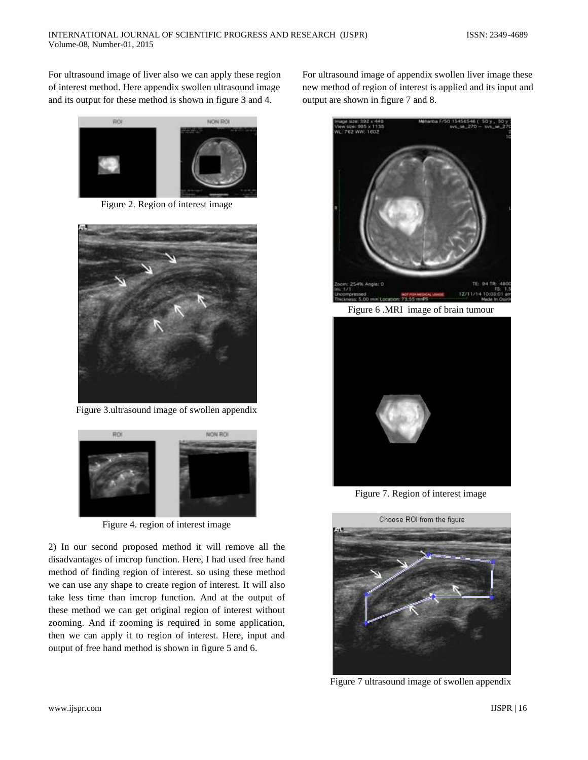For ultrasound image of liver also we can apply these region of interest method. Here appendix swollen ultrasound image and its output for these method is shown in figure 3 and 4.



Figure 2. Region of interest image



Figure 3.ultrasound image of swollen appendix



Figure 4. region of interest image

2) In our second proposed method it will remove all the disadvantages of imcrop function. Here, I had used free hand method of finding region of interest. so using these method we can use any shape to create region of interest. It will also take less time than imcrop function. And at the output of these method we can get original region of interest without zooming. And if zooming is required in some application, then we can apply it to region of interest. Here, input and output of free hand method is shown in figure 5 and 6.

For ultrasound image of appendix swollen liver image these new method of region of interest is applied and its input and output are shown in figure 7 and 8.



Figure 6 .MRI image of brain tumour



Figure 7. Region of interest image



Figure 7 ultrasound image of swollen appendix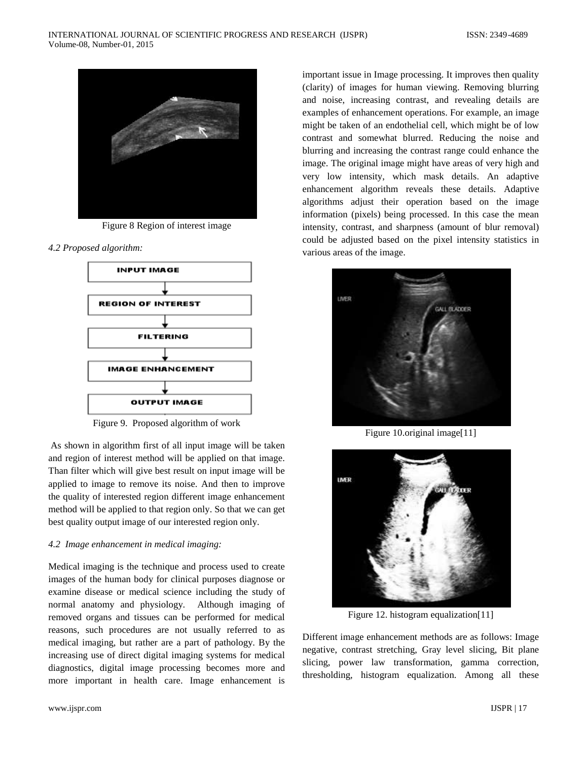

Figure 8 Region of interest image

*4.2 Proposed algorithm:*



Figure 9. Proposed algorithm of work

As shown in algorithm first of all input image will be taken and region of interest method will be applied on that image. Than filter which will give best result on input image will be applied to image to remove its noise. And then to improve the quality of interested region different image enhancement method will be applied to that region only. So that we can get best quality output image of our interested region only.

## *4.2 Image enhancement in medical imaging:*

Medical imaging is the technique and process used to create images of the human body for clinical purposes diagnose or examine disease or medical science including the study of normal anatomy and physiology. Although imaging of removed organs and tissues can be performed for medical reasons, such procedures are not usually referred to as medical imaging, but rather are a part of pathology. By the increasing use of direct digital imaging systems for medical diagnostics, digital image processing becomes more and more important in health care. Image enhancement is

important issue in Image processing. It improves then quality (clarity) of images for human viewing. Removing blurring and noise, increasing contrast, and revealing details are examples of enhancement operations. For example, an image might be taken of an endothelial cell, which might be of low contrast and somewhat blurred. Reducing the noise and blurring and increasing the contrast range could enhance the image. The original image might have areas of very high and very low intensity, which mask details. An adaptive enhancement algorithm reveals these details. Adaptive algorithms adjust their operation based on the image information (pixels) being processed. In this case the mean intensity, contrast, and sharpness (amount of blur removal) could be adjusted based on the pixel intensity statistics in various areas of the image.



Figure 10.original image[11]



Figure 12. histogram equalization[11]

Different image enhancement methods are as follows: Image negative, contrast stretching, Gray level slicing, Bit plane slicing, power law transformation, gamma correction, thresholding, histogram equalization. Among all these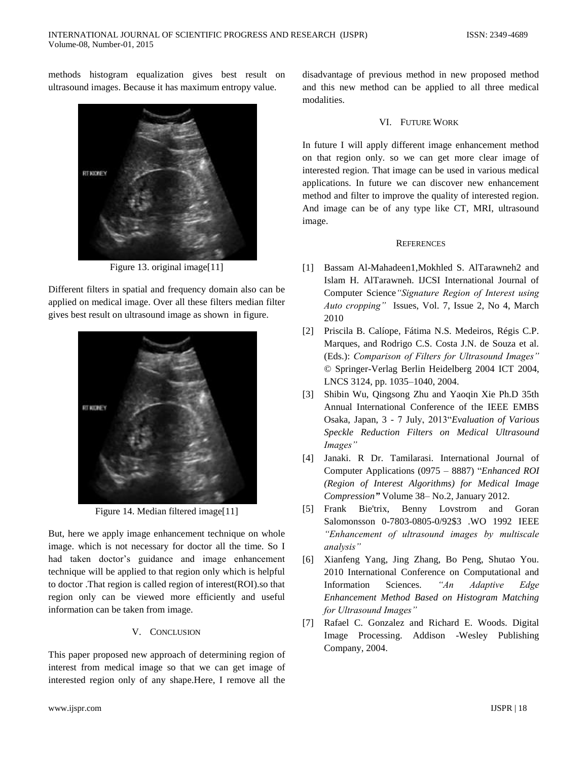methods histogram equalization gives best result on ultrasound images. Because it has maximum entropy value.



Figure 13. original image[11]

Different filters in spatial and frequency domain also can be applied on medical image. Over all these filters median filter gives best result on ultrasound image as shown in figure.



Figure 14. Median filtered image[11]

But, here we apply image enhancement technique on whole image. which is not necessary for doctor all the time. So I had taken doctor's guidance and image enhancement technique will be applied to that region only which is helpful to doctor .That region is called region of interest(ROI).so that region only can be viewed more efficiently and useful information can be taken from image.

## V. CONCLUSION

This paper proposed new approach of determining region of interest from medical image so that we can get image of interested region only of any shape.Here, I remove all the disadvantage of previous method in new proposed method and this new method can be applied to all three medical modalities.

## VI. FUTURE WORK

In future I will apply different image enhancement method on that region only. so we can get more clear image of interested region. That image can be used in various medical applications. In future we can discover new enhancement method and filter to improve the quality of interested region. And image can be of any type like CT, MRI, ultrasound image.

## **REFERENCES**

- [1] Bassam Al-Mahadeen1,Mokhled S. AlTarawneh2 and Islam H. AlTarawneh. IJCSI International Journal of Computer Science*"Signature Region of Interest using Auto cropping"* Issues, Vol. 7, Issue 2, No 4, March 2010
- [2] Priscila B. Calíope, Fátima N.S. Medeiros, Régis C.P. Marques, and Rodrigo C.S. Costa J.N. de Souza et al. (Eds.): *Comparison of Filters for Ultrasound Images"* © Springer-Verlag Berlin Heidelberg 2004 ICT 2004, LNCS 3124, pp. 1035–1040, 2004.
- [3] Shibin Wu, Qingsong Zhu and Yaoqin Xie Ph.D 35th Annual International Conference of the IEEE EMBS Osaka, Japan, 3 - 7 July, 2013<sup>"</sup>Evaluation of Various *Speckle Reduction Filters on Medical Ultrasound Images"*
- [4] Janaki. R Dr. Tamilarasi. International Journal of Computer Applications (0975 – 8887) "Enhanced ROI *(Region of Interest Algorithms) for Medical Image Compression"* Volume 38– No.2, January 2012.
- [5] Frank Bie'trix, Benny Lovstrom and Goran Salomonsson 0-7803-0805-0/92\$3 .WO 1992 IEEE *"Enhancement of ultrasound images by multiscale analysis"*
- [6] Xianfeng Yang, Jing Zhang, Bo Peng, Shutao You. 2010 International Conference on Computational and Information Sciences. *"An Adaptive Edge Enhancement Method Based on Histogram Matching for Ultrasound Images"*
- [7] Rafael C. Gonzalez and Richard E. Woods. Digital Image Processing. Addison -Wesley Publishing Company, 2004.